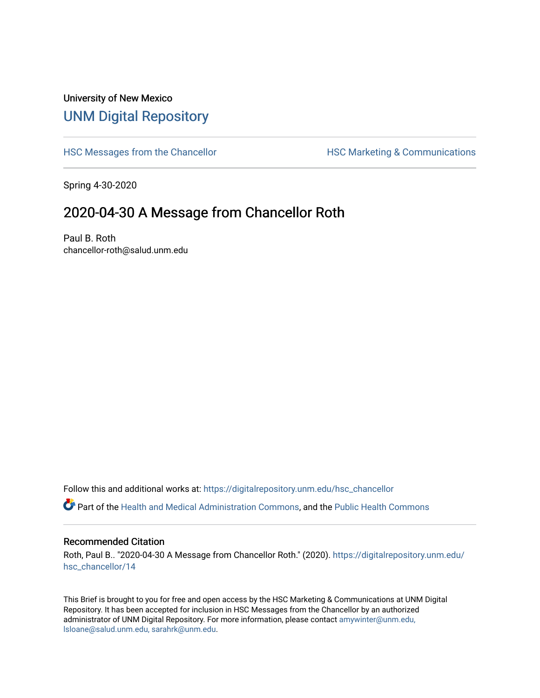## University of New Mexico [UNM Digital Repository](https://digitalrepository.unm.edu/)

[HSC Messages from the Chancellor](https://digitalrepository.unm.edu/hsc_chancellor) **HSC Marketing & Communications** 

Spring 4-30-2020

## 2020-04-30 A Message from Chancellor Roth

Paul B. Roth chancellor-roth@salud.unm.edu

Follow this and additional works at: [https://digitalrepository.unm.edu/hsc\\_chancellor](https://digitalrepository.unm.edu/hsc_chancellor?utm_source=digitalrepository.unm.edu%2Fhsc_chancellor%2F14&utm_medium=PDF&utm_campaign=PDFCoverPages) 

Part of the [Health and Medical Administration Commons](http://network.bepress.com/hgg/discipline/663?utm_source=digitalrepository.unm.edu%2Fhsc_chancellor%2F14&utm_medium=PDF&utm_campaign=PDFCoverPages), and the [Public Health Commons](http://network.bepress.com/hgg/discipline/738?utm_source=digitalrepository.unm.edu%2Fhsc_chancellor%2F14&utm_medium=PDF&utm_campaign=PDFCoverPages) 

## Recommended Citation

Roth, Paul B.. "2020-04-30 A Message from Chancellor Roth." (2020). [https://digitalrepository.unm.edu/](https://digitalrepository.unm.edu/hsc_chancellor/14?utm_source=digitalrepository.unm.edu%2Fhsc_chancellor%2F14&utm_medium=PDF&utm_campaign=PDFCoverPages) [hsc\\_chancellor/14](https://digitalrepository.unm.edu/hsc_chancellor/14?utm_source=digitalrepository.unm.edu%2Fhsc_chancellor%2F14&utm_medium=PDF&utm_campaign=PDFCoverPages) 

This Brief is brought to you for free and open access by the HSC Marketing & Communications at UNM Digital Repository. It has been accepted for inclusion in HSC Messages from the Chancellor by an authorized administrator of UNM Digital Repository. For more information, please contact [amywinter@unm.edu,](mailto:amywinter@unm.edu,%20lsloane@salud.unm.edu,%20sarahrk@unm.edu) [lsloane@salud.unm.edu, sarahrk@unm.edu.](mailto:amywinter@unm.edu,%20lsloane@salud.unm.edu,%20sarahrk@unm.edu)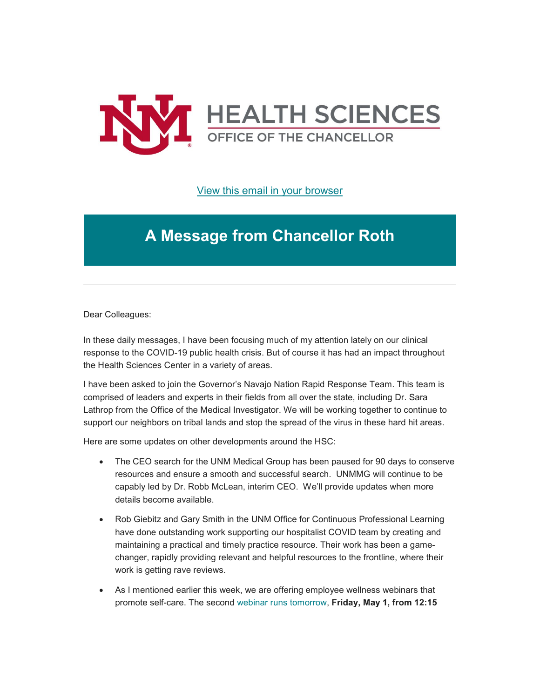

[View this email in your browser](https://mailchi.mp/5fede0cf96c5/message-from-the-chancellor-coronavirus-4402940?e=b4bbfca2c0)

## **A Message from Chancellor Roth**

Dear Colleagues:

In these daily messages, I have been focusing much of my attention lately on our clinical response to the COVID-19 public health crisis. But of course it has had an impact throughout the Health Sciences Center in a variety of areas.

I have been asked to join the Governor's Navajo Nation Rapid Response Team. This team is comprised of leaders and experts in their fields from all over the state, including Dr. Sara Lathrop from the Office of the Medical Investigator. We will be working together to continue to support our neighbors on tribal lands and stop the spread of the virus in these hard hit areas.

Here are some updates on other developments around the HSC:

- The CEO search for the UNM Medical Group has been paused for 90 days to conserve resources and ensure a smooth and successful search. UNMMG will continue to be capably led by Dr. Robb McLean, interim CEO. We'll provide updates when more details become available.
- Rob Giebitz and Gary Smith in the UNM Office for Continuous Professional Learning have done outstanding work supporting our hospitalist COVID team by creating and maintaining a practical and timely practice resource. Their work has been a gamechanger, rapidly providing relevant and helpful resources to the frontline, where their work is getting rave reviews.
- As I mentioned earlier this week, we are offering employee wellness webinars that promote self-care. The second webinar [runs tomorrow,](https://unm.us19.list-manage.com/track/click?u=59ce53c1a4dedb490bac78648&id=c14cf27884&e=b4bbfca2c0) **Friday, May 1, from 12:15**